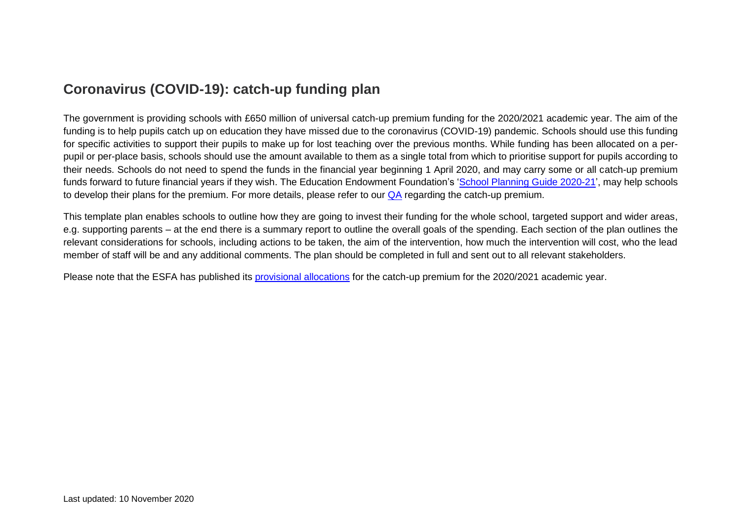#### **Coronavirus (COVID-19): catch-up funding plan**

The government is providing schools with £650 million of universal catch-up premium funding for the 2020/2021 academic year. The aim of the funding is to help pupils catch up on education they have missed due to the coronavirus (COVID-19) pandemic. Schools should use this funding for specific activities to support their pupils to make up for lost teaching over the previous months. While funding has been allocated on a perpupil or per-place basis, schools should use the amount available to them as a single total from which to prioritise support for pupils according to their needs. Schools do not need to spend the funds in the financial year beginning 1 April 2020, and may carry some or all catch-up premium funds forward to future financial years if they wish. The Education Endowment Foundation's ['School Planning Guide 2020-21'](https://educationendowmentfoundation.org.uk/covid-19-resources/guide-to-supporting-schools-planning/), may help schools to develop their plans for the premium. For more details, please refer to our [QA](https://www.theschoolbus.net/article/coronavirus-covid19-how-does-the-catchup-package-work/7857) regarding the catch-up premium.

This template plan enables schools to outline how they are going to invest their funding for the whole school, targeted support and wider areas, e.g. supporting parents – at the end there is a summary report to outline the overall goals of the spending. Each section of the plan outlines the relevant considerations for schools, including actions to be taken, the aim of the intervention, how much the intervention will cost, who the lead member of staff will be and any additional comments. The plan should be completed in full and sent out to all relevant stakeholders.

Please note that the ESFA has published its [provisional allocations](https://www.gov.uk/government/publications/coronavirus-covid-19-catch-up-premium-provisional-allocations) for the catch-up premium for the 2020/2021 academic year.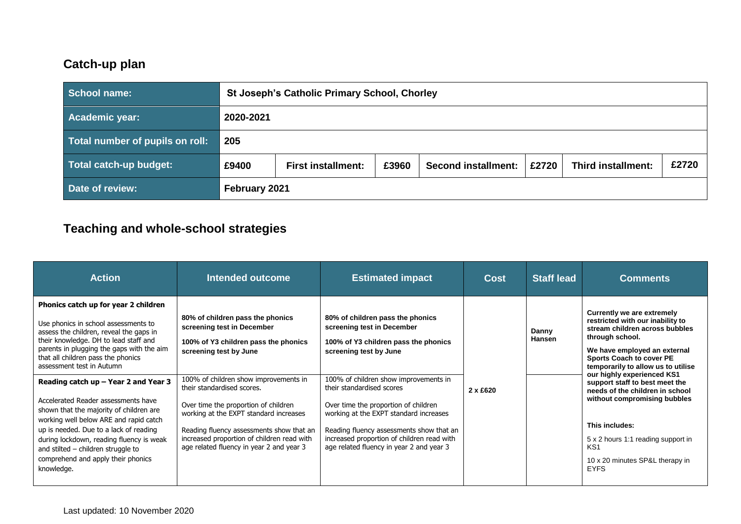## **Catch-up plan**

| School name:                    |           | <b>St Joseph's Catholic Primary School, Chorley</b> |       |                            |       |                           |       |
|---------------------------------|-----------|-----------------------------------------------------|-------|----------------------------|-------|---------------------------|-------|
| Academic year:                  | 2020-2021 |                                                     |       |                            |       |                           |       |
| Total number of pupils on roll: | 205       |                                                     |       |                            |       |                           |       |
| Total catch-up budget:          | £9400     | <b>First installment:</b>                           | £3960 | <b>Second installment:</b> | £2720 | <b>Third installment:</b> | £2720 |
| Date of review:                 |           | February 2021                                       |       |                            |       |                           |       |

# **Teaching and whole-school strategies**

| <b>Action</b>                                                                                                                                                                                                                                                                                                                                                                                                                                                                                                                                                                                                                          | Intended outcome                                                                                                                                                                                                                                                                                                                                                                                                                | <b>Estimated impact</b>                                                                                                                                                                                                                                                                                                                                                                                                        | <b>Cost</b>     | <b>Staff lead</b>      | <b>Comments</b>                                                                                                                                                                                                                                                                                                                                                                                                                                                                  |
|----------------------------------------------------------------------------------------------------------------------------------------------------------------------------------------------------------------------------------------------------------------------------------------------------------------------------------------------------------------------------------------------------------------------------------------------------------------------------------------------------------------------------------------------------------------------------------------------------------------------------------------|---------------------------------------------------------------------------------------------------------------------------------------------------------------------------------------------------------------------------------------------------------------------------------------------------------------------------------------------------------------------------------------------------------------------------------|--------------------------------------------------------------------------------------------------------------------------------------------------------------------------------------------------------------------------------------------------------------------------------------------------------------------------------------------------------------------------------------------------------------------------------|-----------------|------------------------|----------------------------------------------------------------------------------------------------------------------------------------------------------------------------------------------------------------------------------------------------------------------------------------------------------------------------------------------------------------------------------------------------------------------------------------------------------------------------------|
| Phonics catch up for year 2 children<br>Use phonics in school assessments to<br>assess the children, reveal the gaps in<br>their knowledge. DH to lead staff and<br>parents in plugging the gaps with the aim<br>that all children pass the phonics<br>assessment test in Autumn<br>Reading catch $up$ – Year 2 and Year 3<br>Accelerated Reader assessments have<br>shown that the majority of children are<br>working well below ARE and rapid catch<br>up is needed. Due to a lack of reading<br>during lockdown, reading fluency is weak<br>and stilted - children struggle to<br>comprehend and apply their phonics<br>knowledge. | 80% of children pass the phonics<br>screening test in December<br>100% of Y3 children pass the phonics<br>screening test by June<br>100% of children show improvements in<br>their standardised scores.<br>Over time the proportion of children<br>working at the EXPT standard increases<br>Reading fluency assessments show that an<br>increased proportion of children read with<br>age related fluency in year 2 and year 3 | 80% of children pass the phonics<br>screening test in December<br>100% of Y3 children pass the phonics<br>screening test by June<br>100% of children show improvements in<br>their standardised scores<br>Over time the proportion of children<br>working at the EXPT standard increases<br>Reading fluency assessments show that an<br>increased proportion of children read with<br>age related fluency in year 2 and year 3 | $2 \times £620$ | Danny<br><b>Hansen</b> | Currently we are extremely<br>restricted with our inability to<br>stream children across bubbles<br>through school.<br>We have employed an external<br><b>Sports Coach to cover PE</b><br>temporarily to allow us to utilise<br>our highly experienced KS1<br>support staff to best meet the<br>needs of the children in school<br>without compromising bubbles<br>This includes:<br>5 x 2 hours 1:1 reading support in<br>KS1<br>10 x 20 minutes SP&L therapy in<br><b>EYFS</b> |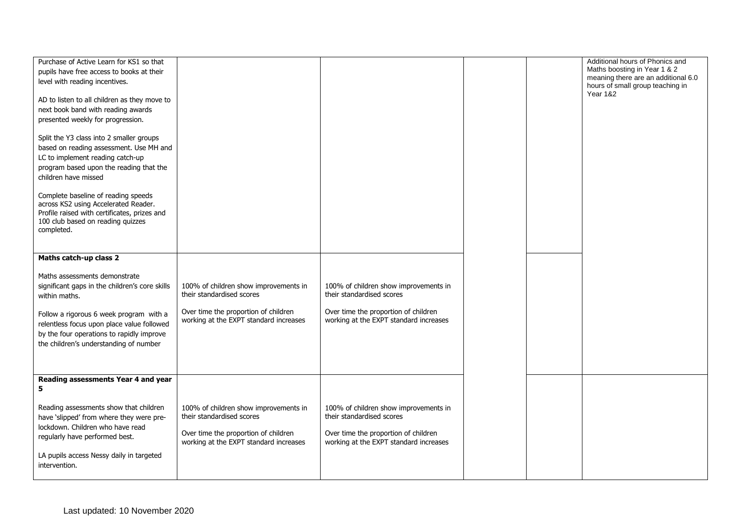| Purchase of Active Learn for KS1 so that<br>pupils have free access to books at their<br>level with reading incentives.<br>AD to listen to all children as they move to<br>next book band with reading awards<br>presented weekly for progression.<br>Split the Y3 class into 2 smaller groups<br>based on reading assessment. Use MH and<br>LC to implement reading catch-up<br>program based upon the reading that the<br>children have missed<br>Complete baseline of reading speeds<br>across KS2 using Accelerated Reader.<br>Profile raised with certificates, prizes and<br>100 club based on reading quizzes<br>completed. |                                                                                                                                                      |                                                                                                                                                      |  | Additional hours of Phonics and<br>Maths boosting in Year 1 & 2<br>meaning there are an additional 6.0<br>hours of small group teaching in<br><b>Year 1&amp;2</b> |
|------------------------------------------------------------------------------------------------------------------------------------------------------------------------------------------------------------------------------------------------------------------------------------------------------------------------------------------------------------------------------------------------------------------------------------------------------------------------------------------------------------------------------------------------------------------------------------------------------------------------------------|------------------------------------------------------------------------------------------------------------------------------------------------------|------------------------------------------------------------------------------------------------------------------------------------------------------|--|-------------------------------------------------------------------------------------------------------------------------------------------------------------------|
| Maths catch-up class 2<br>Maths assessments demonstrate<br>significant gaps in the children's core skills<br>within maths.<br>Follow a rigorous 6 week program with a<br>relentless focus upon place value followed<br>by the four operations to rapidly improve<br>the children's understanding of number                                                                                                                                                                                                                                                                                                                         | 100% of children show improvements in<br>their standardised scores<br>Over time the proportion of children<br>working at the EXPT standard increases | 100% of children show improvements in<br>their standardised scores<br>Over time the proportion of children<br>working at the EXPT standard increases |  |                                                                                                                                                                   |
| Reading assessments Year 4 and year<br>5<br>Reading assessments show that children<br>have 'slipped' from where they were pre-<br>lockdown. Children who have read<br>regularly have performed best.<br>LA pupils access Nessy daily in targeted<br>intervention.                                                                                                                                                                                                                                                                                                                                                                  | 100% of children show improvements in<br>their standardised scores<br>Over time the proportion of children<br>working at the EXPT standard increases | 100% of children show improvements in<br>their standardised scores<br>Over time the proportion of children<br>working at the EXPT standard increases |  |                                                                                                                                                                   |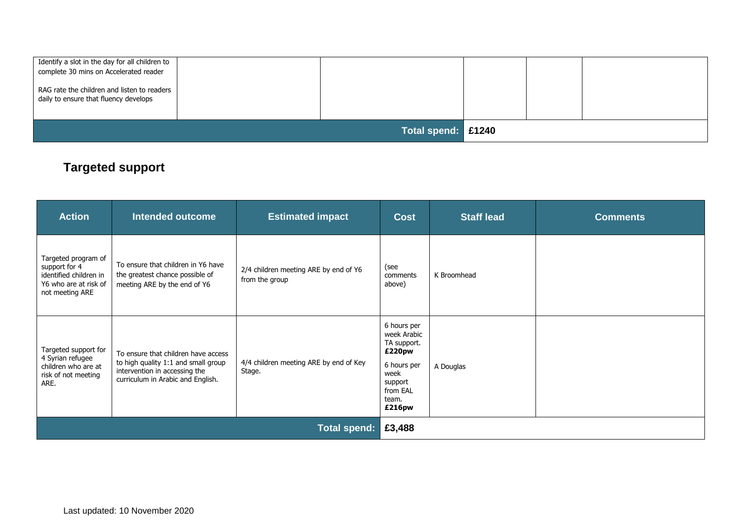| I Identify a slot in the day for all children to<br>complete 30 mins on Accelerated reader<br>RAG rate the children and listen to readers<br>daily to ensure that fluency develops |                    |  |  |
|------------------------------------------------------------------------------------------------------------------------------------------------------------------------------------|--------------------|--|--|
|                                                                                                                                                                                    | Total spend: £1240 |  |  |

## **Targeted support**

| <b>Action</b>                                                                                              | <b>Intended outcome</b>                                                                                                                          | <b>Estimated impact</b>                                 | <b>Cost</b>                                                                                                          | <b>Staff lead</b> | <b>Comments</b> |
|------------------------------------------------------------------------------------------------------------|--------------------------------------------------------------------------------------------------------------------------------------------------|---------------------------------------------------------|----------------------------------------------------------------------------------------------------------------------|-------------------|-----------------|
| Targeted program of<br>support for 4<br>identified children in<br>Y6 who are at risk of<br>not meeting ARE | To ensure that children in Y6 have<br>the greatest chance possible of<br>meeting ARE by the end of Y6                                            | 2/4 children meeting ARE by end of Y6<br>from the group | (see<br>comments<br>above)                                                                                           | K Broomhead       |                 |
| Targeted support for<br>4 Syrian refugee<br>children who are at<br>risk of not meeting<br>ARE.             | To ensure that children have access<br>to high quality 1:1 and small group<br>intervention in accessing the<br>curriculum in Arabic and English. | 4/4 children meeting ARE by end of Key<br>Stage.        | 6 hours per<br>week Arabic<br>TA support.<br>£220pw<br>6 hours per<br>week<br>support<br>from EAL<br>team.<br>£216pw | A Douglas         |                 |
|                                                                                                            | <b>Total spend:</b>                                                                                                                              |                                                         |                                                                                                                      |                   |                 |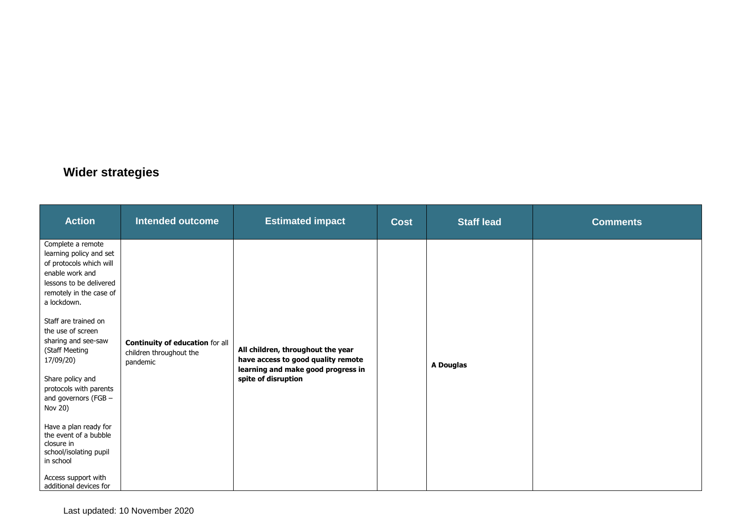#### **Wider strategies**

| <b>Action</b>                                                                                                                                                                                                                                                                                                                                                                                                                                                                                               | <b>Intended outcome</b>                                                | <b>Estimated impact</b>                                                                                                              | <b>Cost</b> | <b>Staff lead</b> | <b>Comments</b> |
|-------------------------------------------------------------------------------------------------------------------------------------------------------------------------------------------------------------------------------------------------------------------------------------------------------------------------------------------------------------------------------------------------------------------------------------------------------------------------------------------------------------|------------------------------------------------------------------------|--------------------------------------------------------------------------------------------------------------------------------------|-------------|-------------------|-----------------|
| Complete a remote<br>learning policy and set<br>of protocols which will<br>enable work and<br>lessons to be delivered<br>remotely in the case of<br>a lockdown.<br>Staff are trained on<br>the use of screen<br>sharing and see-saw<br>(Staff Meeting<br>17/09/20)<br>Share policy and<br>protocols with parents<br>and governors (FGB -<br>Nov 20)<br>Have a plan ready for<br>the event of a bubble<br>closure in<br>school/isolating pupil<br>in school<br>Access support with<br>additional devices for | Continuity of education for all<br>children throughout the<br>pandemic | All children, throughout the year<br>have access to good quality remote<br>learning and make good progress in<br>spite of disruption |             | A Douglas         |                 |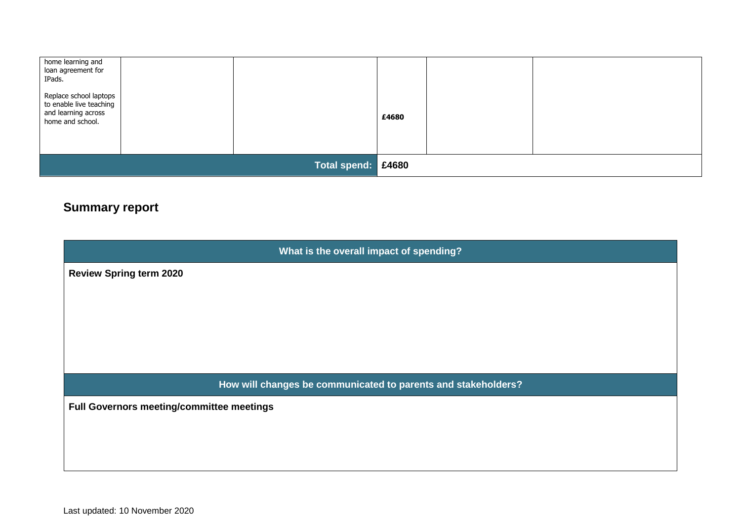| home learning and<br>loan agreement for<br>IPads.                                            |                     |       |  |
|----------------------------------------------------------------------------------------------|---------------------|-------|--|
| Replace school laptops<br>to enable live teaching<br>and learning across<br>home and school. |                     | £4680 |  |
|                                                                                              | <b>Total spend:</b> | E4680 |  |

## **Summary report**

| What is the overall impact of spending?                       |
|---------------------------------------------------------------|
| <b>Review Spring term 2020</b>                                |
|                                                               |
|                                                               |
|                                                               |
|                                                               |
| How will changes be communicated to parents and stakeholders? |
| Full Governors meeting/committee meetings                     |
|                                                               |
|                                                               |
|                                                               |